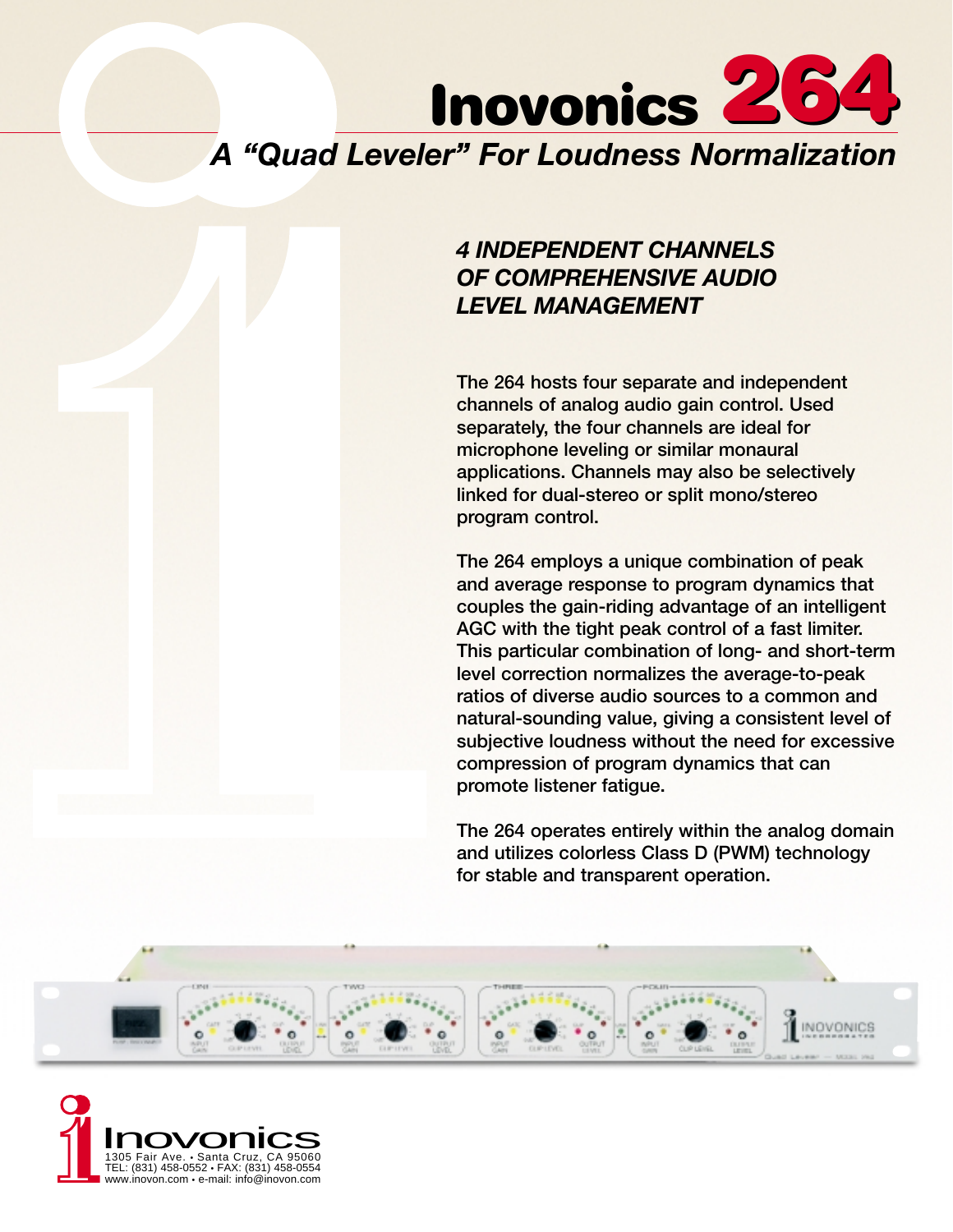

## *4 INDEPENDENT CHANNELS OF COMPREHENSIVE AUDIO LEVEL MANAGEMENT*

**The 264 hosts four separate and independent channels of analog audio gain control. Used separately, the four channels are ideal for microphone leveling or similar monaural applications. Channels may also be selectively linked for dual-stereo or split mono/stereo program control.**

**The 264 employs a unique combination of peak and average response to program dynamics that couples the gain-riding advantage of an intelligent AGC with the tight peak control of a fast limiter. This particular combination of long- and short-term level correction normalizes the average-to-peak ratios of diverse audio sources to a common and natural-sounding value, giving a consistent level of subjective loudness without the need for excessive compression of program dynamics that can promote listener fatigue.**

**The 264 operates entirely within the analog domain and utilizes colorless Class D (PWM) technology for stable and transparent operation.**